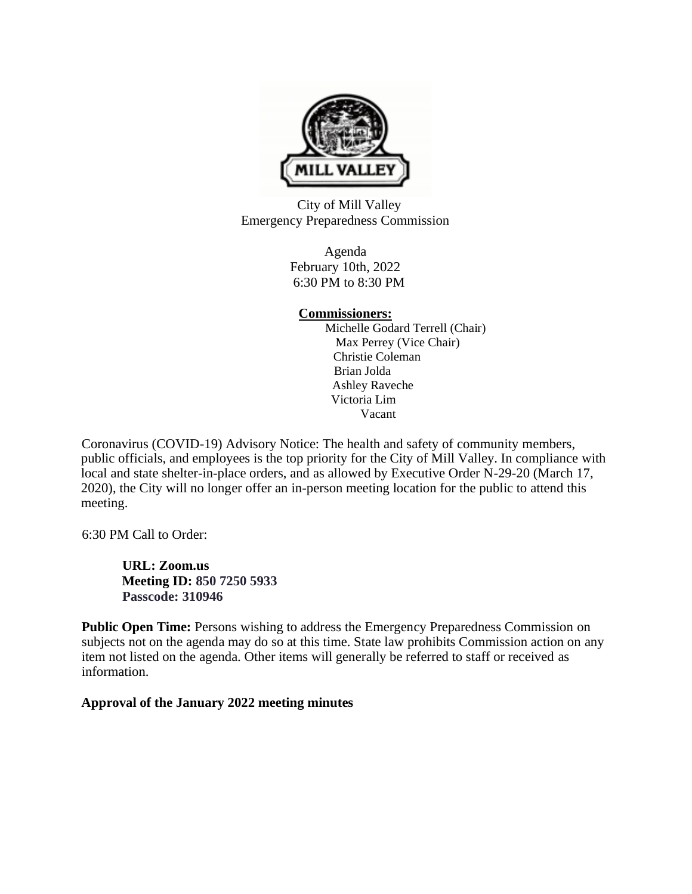

City of Mill Valley Emergency Preparedness Commission

> Agenda February 10th, 2022 6:30 PM to 8:30 PM

# **Commissioners:**

Michelle Godard Terrell (Chair) Max Perrey (Vice Chair) Christie Coleman Brian Jolda Ashley Raveche Victoria Lim Vacant

Coronavirus (COVID-19) Advisory Notice: The health and safety of community members, public officials, and employees is the top priority for the City of Mill Valley. In compliance with local and state shelter-in-place orders, and as allowed by Executive Order N-29-20 (March 17, 2020), the City will no longer offer an in-person meeting location for the public to attend this meeting.

6:30 PM Call to Order:

**URL: Zoom.us Meeting ID: 850 7250 5933 Passcode: 310946** 

Public Open Time: Persons wishing to address the Emergency Preparedness Commission on subjects not on the agenda may do so at this time. State law prohibits Commission action on any item not listed on the agenda. Other items will generally be referred to staff or received as information.

**Approval of the January 2022 meeting minutes**